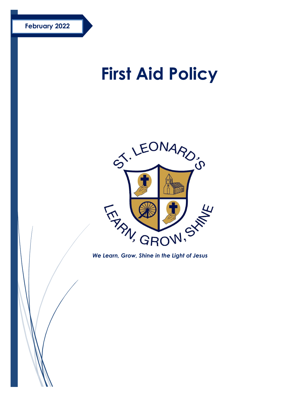# **First Aid Policy**



*We Learn, Grow, Shine in the Light of Jesus*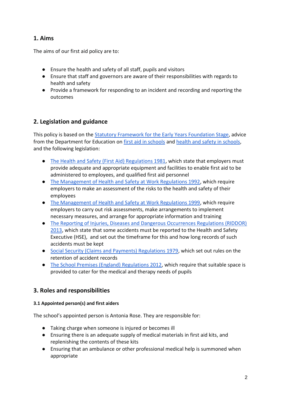## **1. Aims**

The aims of our first aid policy are to:

- Ensure the health and safety of all staff, pupils and visitors
- Ensure that staff and governors are aware of their responsibilities with regards to health and safety
- Provide a framework for responding to an incident and recording and reporting the outcomes

## **2. Legislation and guidance**

This policy is based on the **Statutory Framework for the Early Years Foundation Stage**, advice from the Department for Education o[n](https://www.gov.uk/government/publications/first-aid-in-schools) [first aid in schools](https://www.gov.uk/government/publications/first-aid-in-schools) an[d](https://www.gov.uk/government/publications/health-and-safety-advice-for-schools) [health and safety in schools,](https://www.gov.uk/government/publications/health-and-safety-advice-for-schools) and the following legislation:

- [The Health and Safety \(First Aid\) Regulations 1981,](http://www.legislation.gov.uk/uksi/1981/917/regulation/3/made) which state that employers must provide adequate and appropriate equipment and facilities to enable first aid to be administered to employees, and qualified first aid personnel
- [The Management of Health and Safety at Work Regulations 1992,](http://www.legislation.gov.uk/uksi/1992/2051/regulation/3/made) which require employers to make an assessment of the risks to the health and safety of their employees
- [The Management of Health and Safety at Work Regulations 1999,](http://www.legislation.gov.uk/uksi/1999/3242/contents/made) which require employers to carry out risk assessments, make arrangements to implement necessary measures, and arrange for appropriate information and training
- [The Reporting of Injuries, Diseases and Dangerous Occurrences Regulations \(RIDDOR\)](http://www.legislation.gov.uk/uksi/2013/1471/schedule/1/paragraph/1/made)  [2013,](http://www.legislation.gov.uk/uksi/2013/1471/schedule/1/paragraph/1/made) which state that some accidents must be reported to the Health and Safety Executive (HSE), and set out the timeframe for this and how long records of such accidents must be kept
- [Social Security \(Claims and Payments\) Regulations 1979,](http://www.legislation.gov.uk/uksi/1979/628) which set out rules on the retention of accident records
- [The School Premises \(England\) Regulations 2012,](http://www.legislation.gov.uk/uksi/2012/1943/regulation/5/made) which require that suitable space is provided to cater for the medical and therapy needs of pupils

## **3. Roles and responsibilities**

### **3.1 Appointed person(s) and first aiders**

The school's appointed person is Antonia Rose. They are responsible for:

- Taking charge when someone is injured or becomes ill
- Ensuring there is an adequate supply of medical materials in first aid kits, and replenishing the contents of these kits
- Ensuring that an ambulance or other professional medical help is summoned when appropriate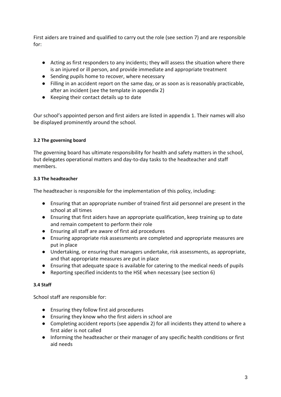First aiders are trained and qualified to carry out the role (see section 7) and are responsible for:

- Acting as first responders to any incidents; they will assess the situation where there is an injured or ill person, and provide immediate and appropriate treatment
- Sending pupils home to recover, where necessary
- Filling in an accident report on the same day, or as soon as is reasonably practicable, after an incident (see the template in appendix 2)
- Keeping their contact details up to date

Our school's appointed person and first aiders are listed in appendix 1. Their names will also be displayed prominently around the school.

### **3.2 The governing board**

The governing board has ultimate responsibility for health and safety matters in the school, but delegates operational matters and day-to-day tasks to the headteacher and staff members.

#### **3.3 The headteacher**

The headteacher is responsible for the implementation of this policy, including:

- Ensuring that an appropriate number of trained first aid personnel are present in the school at all times
- Ensuring that first aiders have an appropriate qualification, keep training up to date and remain competent to perform their role
- Ensuring all staff are aware of first aid procedures
- Ensuring appropriate risk assessments are completed and appropriate measures are put in place
- Undertaking, or ensuring that managers undertake, risk assessments, as appropriate, and that appropriate measures are put in place
- Ensuring that adequate space is available for catering to the medical needs of pupils
- Reporting specified incidents to the HSE when necessary (see section 6)

### **3.4 Staff**

School staff are responsible for:

- Ensuring they follow first aid procedures
- Ensuring they know who the first aiders in school are
- Completing accident reports (see appendix 2) for all incidents they attend to where a first aider is not called
- Informing the headteacher or their manager of any specific health conditions or first aid needs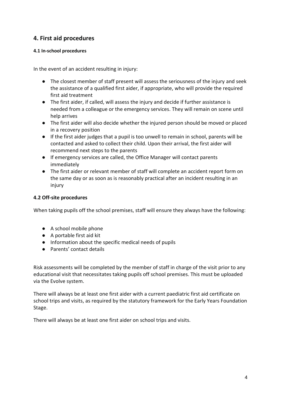## **4. First aid procedures**

### **4.1 In-school procedures**

In the event of an accident resulting in injury:

- The closest member of staff present will assess the seriousness of the injury and seek the assistance of a qualified first aider, if appropriate, who will provide the required first aid treatment
- The first aider, if called, will assess the injury and decide if further assistance is needed from a colleague or the emergency services. They will remain on scene until help arrives
- The first aider will also decide whether the injured person should be moved or placed in a recovery position
- If the first aider judges that a pupil is too unwell to remain in school, parents will be contacted and asked to collect their child. Upon their arrival, the first aider will recommend next steps to the parents
- If emergency services are called, the Office Manager will contact parents immediately
- The first aider or relevant member of staff will complete an accident report form on the same day or as soon as is reasonably practical after an incident resulting in an injury

## **4.2 Off-site procedures**

When taking pupils off the school premises, staff will ensure they always have the following:

- A school mobile phone
- A portable first aid kit
- Information about the specific medical needs of pupils
- Parents' contact details

Risk assessments will be completed by the member of staff in charge of the visit prior to any educational visit that necessitates taking pupils off school premises. This must be uploaded via the Evolve system.

There will always be at least one first aider with a current paediatric first aid certificate on school trips and visits, as required by the statutory framework for the Early Years Foundation Stage.

There will always be at least one first aider on school trips and visits.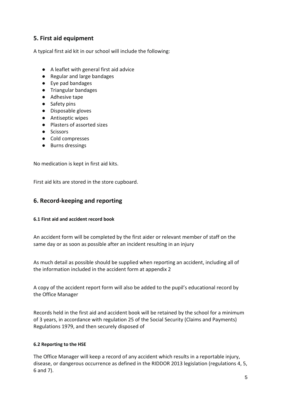## **5. First aid equipment**

A typical first aid kit in our school will include the following:

- A leaflet with general first aid advice
- Regular and large bandages
- Eye pad bandages
- Triangular bandages
- Adhesive tape
- Safety pins
- Disposable gloves
- Antiseptic wipes
- Plasters of assorted sizes
- Scissors
- Cold compresses
- Burns dressings

No medication is kept in first aid kits.

First aid kits are stored in the store cupboard.

## **6. Record-keeping and reporting**

#### **6.1 First aid and accident record book**

An accident form will be completed by the first aider or relevant member of staff on the same day or as soon as possible after an incident resulting in an injury

As much detail as possible should be supplied when reporting an accident, including all of the information included in the accident form at appendix 2

A copy of the accident report form will also be added to the pupil's educational record by the Office Manager

Records held in the first aid and accident book will be retained by the school for a minimum of 3 years, in accordance with regulation 25 of the Social Security (Claims and Payments) Regulations 1979, and then securely disposed of

### **6.2 Reporting to the HSE**

The Office Manager will keep a record of any accident which results in a reportable injury, disease, or dangerous occurrence as defined in the RIDDOR 2013 legislation (regulations 4, 5, 6 and 7).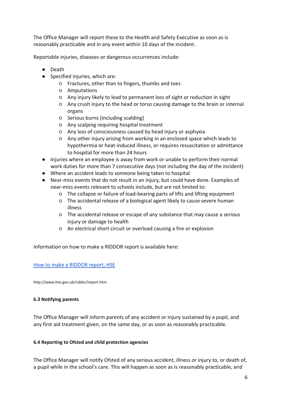The Office Manager will report these to the Health and Safety Executive as soon as is reasonably practicable and in any event within 10 days of the incident.

Reportable injuries, diseases or dangerous occurrences include:

- Death
- Specified injuries, which are:
	- Fractures, other than to fingers, thumbs and toes
	- Amputations
	- Any injury likely to lead to permanent loss of sight or reduction in sight
	- Any crush injury to the head or torso causing damage to the brain or internal organs
	- Serious burns (including scalding)
	- Any scalping requiring hospital treatment
	- Any loss of consciousness caused by head injury or asphyxia
	- Any other injury arising from working in an enclosed space which leads to hypothermia or heat-induced illness, or requires resuscitation or admittance to hospital for more than 24 hours
- Injuries where an employee is away from work or unable to perform their normal work duties for more than 7 consecutive days (not including the day of the incident)
- Where an accident leads to someone being taken to hospital
- Near-miss events that do not result in an injury, but could have done. Examples of near-miss events relevant to schools include, but are not limited to:
	- The collapse or failure of load-bearing parts of lifts and lifting equipment
	- The accidental release of a biological agent likely to cause severe human illness
	- The accidental release or escape of any substance that may cause a serious injury or damage to health
	- An electrical short circuit or overload causing a fire or explosion

Information on how to make a RIDDOR report is available here:

#### How to [make a RIDDOR report, HSE](http://www.hse.gov.uk/riddor/report.htm)

http://www.hse.gov.uk/riddor/report.htm

#### **6.3 Notifying parents**

The Office Manager will inform parents of any accident or injury sustained by a pupil, and any first aid treatment given, on the same day, or as soon as reasonably practicable.

#### **6.4 Reporting to Ofsted and child protection agencies**

The Office Manager will notify Ofsted of any serious accident, illness or injury to, or death of, a pupil while in the school's care. This will happen as soon as is reasonably practicable, and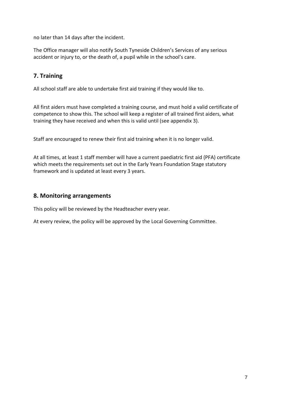no later than 14 days after the incident.

The Office manager will also notify South Tyneside Children's Services of any serious accident or injury to, or the death of, a pupil while in the school's care.

## **7. Training**

All school staff are able to undertake first aid training if they would like to.

All first aiders must have completed a training course, and must hold a valid certificate of competence to show this. The school will keep a register of all trained first aiders, what training they have received and when this is valid until (see appendix 3).

Staff are encouraged to renew their first aid training when it is no longer valid.

At all times, at least 1 staff member will have a current paediatric first aid (PFA) certificate which meets the requirements set out in the Early Years Foundation Stage statutory framework and is updated at least every 3 years.

## **8. Monitoring arrangements**

This policy will be reviewed by the Headteacher every year.

At every review, the policy will be approved by the Local Governing Committee.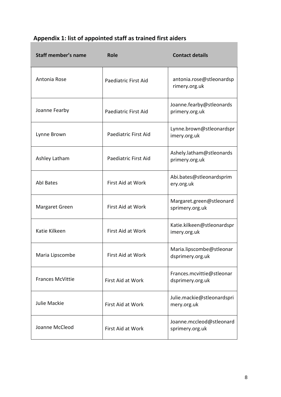| <b>Staff member's name</b> | <b>Role</b>          | <b>Contact details</b>                        |
|----------------------------|----------------------|-----------------------------------------------|
| Antonia Rose               | Paediatric First Aid | antonia.rose@stleonardsp<br>rimery.org.uk     |
| Joanne Fearby              | Paediatric First Aid | Joanne.fearby@stleonards<br>primery.org.uk    |
| Lynne Brown                | Paediatric First Aid | Lynne.brown@stleonardspr<br>imery.org.uk      |
| Ashley Latham              | Paediatric First Aid | Ashely.latham@stleonards<br>primery.org.uk    |
| <b>Abl Bates</b>           | First Aid at Work    | Abi.bates@stleonardsprim<br>ery.org.uk        |
| Margaret Green             | First Aid at Work    | Margaret.green@stleonard<br>sprimery.org.uk   |
| Katie Kilkeen              | First Aid at Work    | Katie.kilkeen@stleonardspr<br>imery.org.uk    |
| Maria Lipscombe            | First Aid at Work    | Maria.lipscombe@stleonar<br>dsprimery.org.uk  |
| <b>Frances McVittie</b>    | First Aid at Work    | Frances.mcvittie@stleonar<br>dsprimery.org.uk |
| Julie Mackie               | First Aid at Work    | Julie.mackie@stleonardspri<br>mery.org.uk     |
| Joanne McCleod             | First Aid at Work    | Joanne.mccleod@stleonard<br>sprimery.org.uk   |

## **Appendix 1: list of appointed staff as trained first aiders**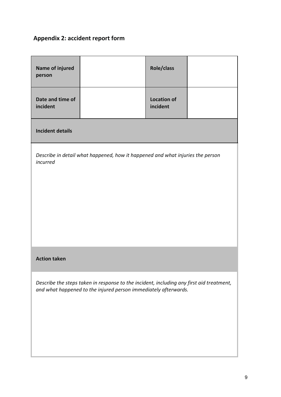## **Appendix 2: accident report form**

| Name of injured<br>person                                                                                                                                   |  | Role/class                     |  |  |
|-------------------------------------------------------------------------------------------------------------------------------------------------------------|--|--------------------------------|--|--|
| Date and time of<br>incident                                                                                                                                |  | <b>Location of</b><br>incident |  |  |
| <b>Incident details</b>                                                                                                                                     |  |                                |  |  |
| Describe in detail what happened, how it happened and what injuries the person<br>incurred                                                                  |  |                                |  |  |
| <b>Action taken</b>                                                                                                                                         |  |                                |  |  |
| Describe the steps taken in response to the incident, including any first aid treatment,<br>and what happened to the injured person immediately afterwards. |  |                                |  |  |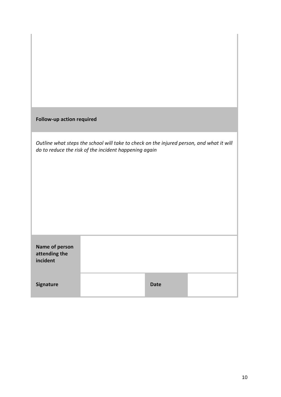| Outline what steps the school will take to check on the injured person, and what it will |
|------------------------------------------------------------------------------------------|
| do to reduce the risk of the incident happening again                                    |

| Name of person<br>attending the<br>incident |             |  |
|---------------------------------------------|-------------|--|
| Signature                                   | <b>Date</b> |  |